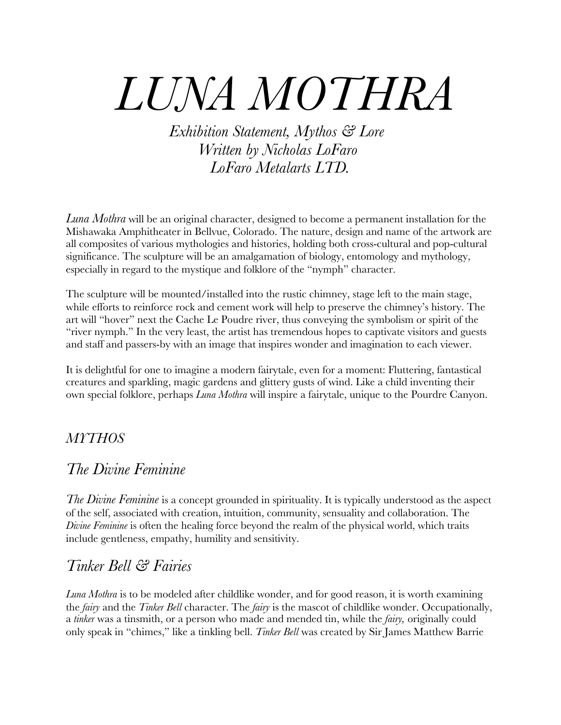# *LUNA MOTHRA*

*Exhibition Statement, Mythos & Lore Written by Nicholas LoFaro LoFaro Metalarts LTD.*

*Luna Mothra* will be an original character, designed to become a permanent installation for the Mishawaka Amphitheater in Bellvue, Colorado. The nature, design and name of the artwork are all composites of various mythologies and histories, holding both cross-cultural and pop-cultural significance. The sculpture will be an amalgamation of biology, entomology and mythology, especially in regard to the mystique and folklore of the "nymph" character.

The sculpture will be mounted/installed into the rustic chimney, stage left to the main stage, while efforts to reinforce rock and cement work will help to preserve the chimney's history. The art will "hover" next the Cache Le Poudre river, thus conveying the symbolism or spirit of the "river nymph." In the very least, the artist has tremendous hopes to captivate visitors and guests and staff and passers-by with an image that inspires wonder and imagination to each viewer.

It is delightful for one to imagine a modern fairytale, even for a moment: Fluttering, fantastical creatures and sparkling, magic gardens and glittery gusts of wind. Like a child inventing their own special folklore, perhaps *Luna Mothra* will inspire a fairytale, unique to the Pourdre Canyon.

#### *MYTHOS*

#### *The Divine Feminine*

*The Divine Feminine* is a concept grounded in spirituality. It is typically understood as the aspect of the self, associated with creation, intuition, community, sensuality and collaboration. The *Divine Feminine* is often the healing force beyond the realm of the physical world, which traits include gentleness, empathy, humility and sensitivity.

### *Tinker Bell & Fairies*

*Luna Mothra* is to be modeled after childlike wonder, and for good reason, it is worth examining the *fairy* and the *Tinker Bell* character. The *fairy* is the mascot of childlike wonder. Occupationally, a *tinker* was a tinsmith, or a person who made and mended tin, while the *fairy,* originally could only speak in "chimes," like a tinkling bell. *Tinker Bell* was created by Sir James Matthew Barrie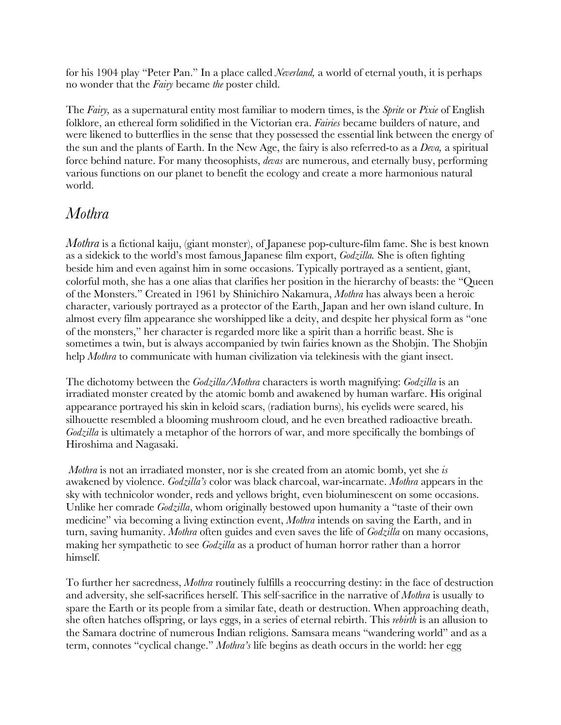for his 1904 play "Peter Pan." In a place called *Neverland,* a world of eternal youth, it is perhaps no wonder that the *Fairy* became *the* poster child.

The *Fairy,* as a supernatural entity most familiar to modern times, is the *Sprite* or *Pixie* of English folklore, an ethereal form solidified in the Victorian era. *Fairies* became builders of nature, and were likened to butterflies in the sense that they possessed the essential link between the energy of the sun and the plants of Earth. In the New Age, the fairy is also referred-to as a *Deva,* a spiritual force behind nature. For many theosophists, *devas* are numerous, and eternally busy, performing various functions on our planet to benefit the ecology and create a more harmonious natural world.

#### *Mothra*

*Mothra* is a fictional kaiju, (giant monster), of Japanese pop-culture-film fame. She is best known as a sidekick to the world's most famous Japanese film export, *Godzilla.* She is often fighting beside him and even against him in some occasions. Typically portrayed as a sentient, giant, colorful moth, she has a one alias that clarifies her position in the hierarchy of beasts: the "Queen of the Monsters." Created in 1961 by Shinichiro Nakamura, *Mothra* has always been a heroic character, variously portrayed as a protector of the Earth, Japan and her own island culture. In almost every film appearance she worshipped like a deity, and despite her physical form as "one of the monsters," her character is regarded more like a spirit than a horrific beast. She is sometimes a twin, but is always accompanied by twin fairies known as the Shobjin. The Shobjin help *Mothra* to communicate with human civilization via telekinesis with the giant insect.

The dichotomy between the *Godzilla/Mothra* characters is worth magnifying: *Godzilla* is an irradiated monster created by the atomic bomb and awakened by human warfare. His original appearance portrayed his skin in keloid scars, (radiation burns), his eyelids were seared, his silhouette resembled a blooming mushroom cloud, and he even breathed radioactive breath. *Godzilla* is ultimately a metaphor of the horrors of war, and more specifically the bombings of Hiroshima and Nagasaki.

*Mothra* is not an irradiated monster, nor is she created from an atomic bomb, yet she *is*  awakened by violence. *Godzilla's* color was black charcoal, war-incarnate. *Mothra* appears in the sky with technicolor wonder, reds and yellows bright, even bioluminescent on some occasions. Unlike her comrade *Godzilla*, whom originally bestowed upon humanity a "taste of their own medicine" via becoming a living extinction event, *Mothra* intends on saving the Earth, and in turn, saving humanity. *Mothra* often guides and even saves the life of *Godzilla* on many occasions, making her sympathetic to see *Godzilla* as a product of human horror rather than a horror himself.

To further her sacredness, *Mothra* routinely fulfills a reoccurring destiny: in the face of destruction and adversity, she self-sacrifices herself. This self*-*sacrifice in the narrative of *Mothra* is usually to spare the Earth or its people from a similar fate, death or destruction. When approaching death, she often hatches offspring, or lays eggs, in a series of eternal rebirth. This *rebirth* is an allusion to the Samara doctrine of numerous Indian religions. Samsara means "wandering world" and as a term, connotes "cyclical change." *Mothra's* life begins as death occurs in the world: her egg